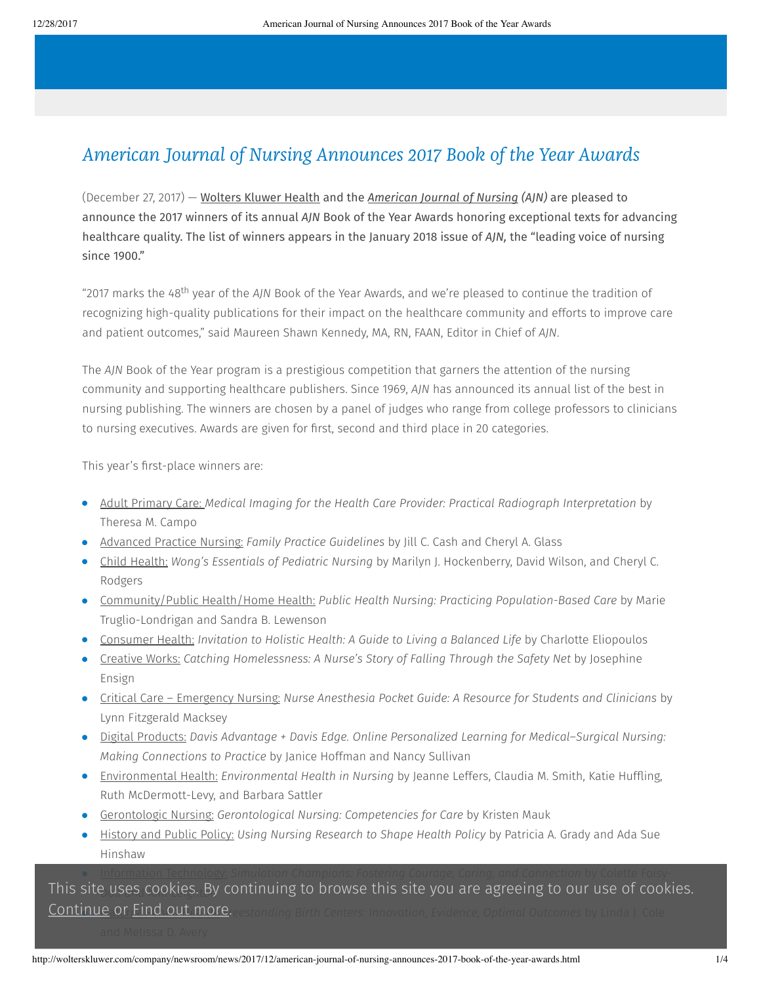# American Journal of Nursing Announces 2017 Book of the Year Awards

(December 27, 2017) — [Wolters](http://wolterskluwer.com/) Kluwer Health and the *[American](http://journals.lww.com/ajnonline/pages/default.aspx) Journal of Nursing (AJN)* are pleased to announce the 2017 winners of its annual *AJN* Book of the Year Awards honoring exceptional texts for advancing healthcare quality. The list of winners appears in the January 2018 issue of *AJN,* the "leading voice of nursing since 1900."

"2017 marks the 48<sup>th</sup> year of the AJN Book of the Year Awards, and we're pleased to continue the tradition of recognizing high-quality publications for their impact on the healthcare community and efforts to improve care and patient outcomes," said Maureen Shawn Kennedy, MA, RN, FAAN, Editor in Chief of *AJN*.

The *AJN* Book of the Year program is a prestigious competition that garners the attention of the nursing community and supporting healthcare publishers. Since 1969, *AJN* has announced its annual list of the best in nursing publishing. The winners are chosen by a panel of judges who range from college professors to clinicians to nursing executives. Awards are given for first, second and third place in 20 categories.

This year's first-place winners are:

- Adult Primary Care: *Medical Imaging for the Health Care Provider: Practical Radiograph Interpretation* by Theresa M. Campo
- Advanced Practice Nursing: *Family Practice Guidelines* by Jill C. Cash and Cheryl A. Glass
- Child Health: *Wong's Essentials of Pediatric Nursing* by Marilyn J. Hockenberry, David Wilson, and Cheryl C. Rodgers
- Community/Public Health/Home Health: *Public Health Nursing: Practicing Population-Based Care* by Marie Truglio-Londrigan and Sandra B. Lewenson
- Consumer Health: *Invitation to Holistic Health: A Guide to Living a Balanced Life* by Charlotte Eliopoulos
- Creative Works: *Catching Homelessness: A Nurse's Story of Falling Through the Safety Net* by Josephine Ensign
- Critical Care Emergency Nursing: *Nurse Anesthesia Pocket Guide: A Resource for Students and Clinicians* by Lynn Fitzgerald Macksey
- Digital Products: *Davis Advantage + Davis Edge. Online Personalized Learning for Medical–Surgical Nursing: Making Connections to Practice* by Janice Hoffman and Nancy Sullivan
- Environmental Health: *Environmental Health in Nursing* by Jeanne Leffers, Claudia M. Smith, Katie Huffling, Ruth McDermott-Levy, and Barbara Sattler
- Gerontologic Nursing: *Gerontological Nursing: Competencies for Care* by Kristen Mauk
- History and Public Policy: *Using Nursing Research to Shape Health Policy* by Patricia A. Grady and Ada Sue Hinshaw

This site uses cookies. By continuing to browse this site you are agreeing to our use of cookies. **Continue or Find out more.** eestanding Birth Centers: Innovation, Evidence, Optimal Outcomes by Linda J. Cole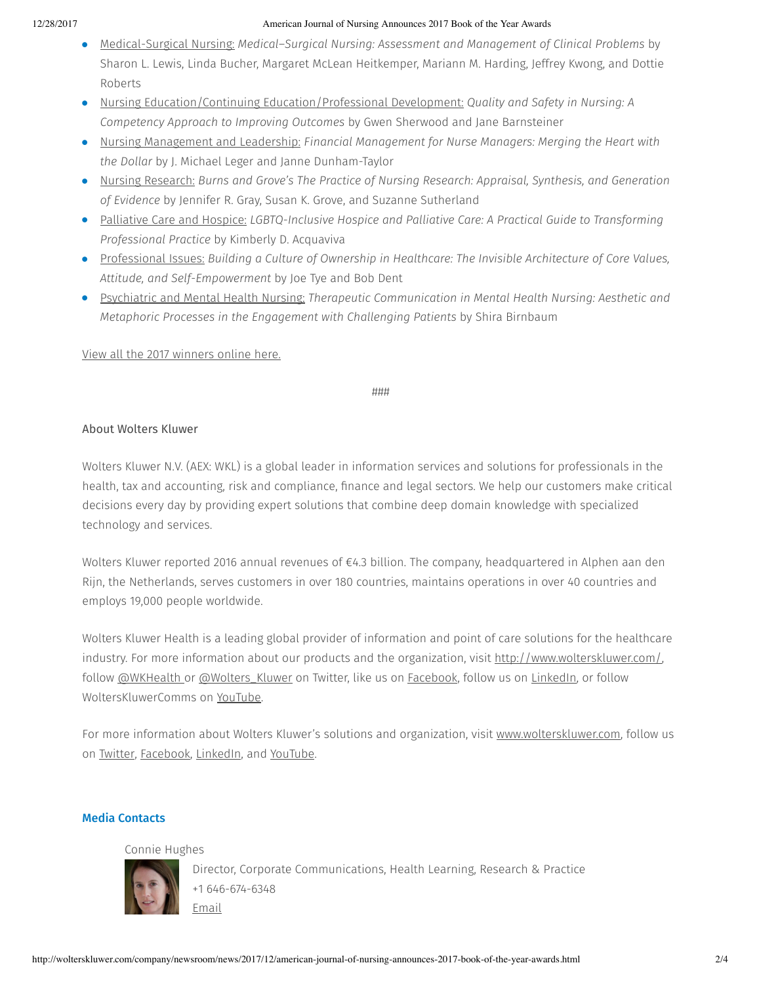#### 12/28/2017 American Journal of Nursing Announces 2017 Book of the Year Awards

- Medical-Surgical Nursing: *Medical–Surgical Nursing: Assessment and Management of Clinical Problems* by Sharon L. Lewis, Linda Bucher, Margaret McLean Heitkemper, Mariann M. Harding, Jeffrey Kwong, and Dottie Roberts
- Nursing Education/Continuing Education/Professional Development: *Quality and Safety in Nursing: A Competency Approach to Improving Outcomes* by Gwen Sherwood and Jane Barnsteiner
- Nursing Management and Leadership: *Financial Management for Nurse Managers: Merging the Heart with the Dollar* by J. Michael Leger and Janne Dunham-Taylor
- Nursing Research: *Burns and Grove's The Practice of Nursing Research: Appraisal, Synthesis, and Generation of Evidence* by Jennifer R. Gray, Susan K. Grove, and Suzanne Sutherland
- Palliative Care and Hospice: *LGBTQ-Inclusive Hospice and Palliative Care: A Practical Guide to Transforming Professional Practice* by Kimberly D. Acquaviva
- Professional Issues: *Building a Culture of Ownership in Healthcare: The Invisible Architecture of Core Values, Attitude, and Self-Empowerment* by Joe Tye and Bob Dent
- Psychiatric and Mental Health Nursing: *Therapeutic Communication in Mental Health Nursing: Aesthetic and Metaphoric Processes in the Engagement with Challenging Patients* by Shira Birnbaum

View all the 2017 [winners](http://journals.lww.com/ajnonline/Fulltext/2018/01000/Book_of_the_Year_Awards_2017.20.aspx?PRID=AJN_PR_122717) online here.

### ###

# About Wolters Kluwer

Wolters Kluwer N.V. (AEX: WKL) is a global leader in information services and solutions for professionals in the health, tax and accounting, risk and compliance, finance and legal sectors. We help our customers make critical decisions every day by providing expert solutions that combine deep domain knowledge with specialized technology and services.

Wolters Kluwer reported 2016 annual revenues of €4.3 billion. The company, headquartered in Alphen aan den Rijn, the Netherlands, serves customers in over 180 countries, maintains operations in over 40 countries and employs 19,000 people worldwide.

Wolters Kluwer Health is a leading global provider of information and point of care solutions for the healthcare industry. For more information about our products and the organization, visit <http://www.wolterskluwer.com/>, follow [@WKHealth](https://twitter.com/wkhealth) or [@Wolters\\_Kluwer](https://twitter.com/Wolters_Kluwer) on Twitter, like us on [Facebook](https://www.facebook.com/wolterskluwer), follow us on [LinkedIn,](https://www.linkedin.com/company/2483?trk=tyah&trkInfo=tarId%3A1415118411059%2Ctas%3Awolters%20kluwer%2Cidx%3A2-1-6) or follow WoltersKluwerComms on [YouTube](http://www.youtube.com/user/WoltersKluwerComms).

For more information about Wolters Kluwer's solutions and organization, visit [www.wolterskluwer.com,](http://www.wolterskluwer.com/) follow us on [Twitter,](https://twitter.com/wolters_kluwer) [Facebook](https://www.facebook.com/wolterskluwer), [LinkedIn](https://www.linkedin.com/company/2483?trk=tyah&trkInfo=tarId%3A1415118411059%2Ctas%3Awolters%20kluwer%2Cidx%3A2-1-6), and [YouTube](http://www.youtube.com/user/WoltersKluwerComms).

# Media Contacts

# Connie Hughes



Director, Corporate Communications, Health Learning, Research & Practice +1 646-674-6348 [Email](mailto:connie.hughes@wolterskluwer.com)